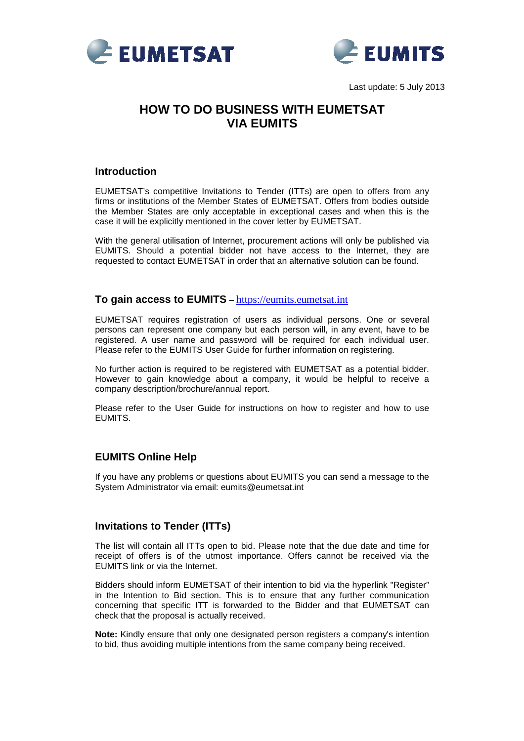



Last update: 5 July 2013

# **HOW TO DO BUSINESS WITH EUMETSAT VIA EUMITS**

#### **Introduction**

EUMETSAT's competitive Invitations to Tender (ITTs) are open to offers from any firms or institutions of the Member States of EUMETSAT. Offers from bodies outside the Member States are only acceptable in exceptional cases and when this is the case it will be explicitly mentioned in the cover letter by EUMETSAT.

With the general utilisation of Internet, procurement actions will only be published via EUMITS. Should a potential bidder not have access to the Internet, they are requested to contact EUMETSAT in order that an alternative solution can be found.

#### **To gain access to EUMITS** – [https://eumits.eumetsat.in](https://eumits.eumetsat.int/)t

EUMETSAT requires registration of users as individual persons. One or several persons can represent one company but each person will, in any event, have to be registered. A user name and password will be required for each individual user. Please refer to the EUMITS User Guide for further information on registering.

No further action is required to be registered with EUMETSAT as a potential bidder. However to gain knowledge about a company, it would be helpful to receive a company description/brochure/annual report.

Please refer to the User Guide for instructions on how to register and how to use EUMITS.

### **EUMITS Online Help**

If you have any problems or questions about EUMITS you can send a message to the System Administrator via email: eumits@eumetsat.int

#### **Invitations to Tender (ITTs)**

The list will contain all ITTs open to bid. Please note that the due date and time for receipt of offers is of the utmost importance. Offers cannot be received via the EUMITS link or via the Internet.

Bidders should inform EUMETSAT of their intention to bid via the hyperlink "Register" in the Intention to Bid section. This is to ensure that any further communication concerning that specific ITT is forwarded to the Bidder and that EUMETSAT can check that the proposal is actually received.

**Note:** Kindly ensure that only one designated person registers a company's intention to bid, thus avoiding multiple intentions from the same company being received.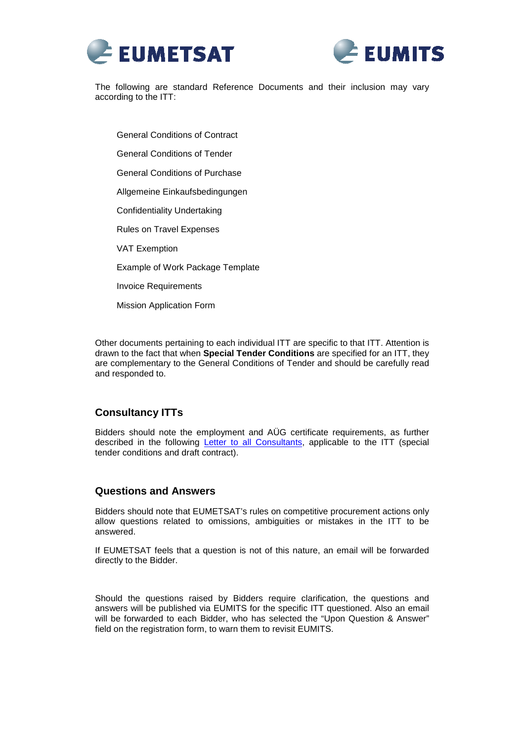



The following are standard Reference Documents and their inclusion may vary according to the ITT:

General Conditions of Contract General Conditions of Tender General Conditions of Purchase Allgemeine Einkaufsbedingungen Confidentiality Undertaking Rules on Travel Expenses VAT Exemption Example of Work Package Template Invoice Requirements Mission Application Form

Other documents pertaining to each individual ITT are specific to that ITT. Attention is drawn to the fact that when **Special Tender Conditions** are specified for an ITT, they are complementary to the General Conditions of Tender and should be carefully read and responded to.

## **Consultancy ITTs**

Bidders should note the employment and AÜG certificate requirements, as further described in the following [Letter to all Consultants](http://eumits.eumetsat.int/EUMITS/GetDocument?fileId=4alad95a56nqc8la58haibt1kujijal658gaeah9lum2ob1fmstbcdhflgm2obtn7ar3c), applicable to the ITT (special tender conditions and draft contract).

#### **Questions and Answers**

Bidders should note that EUMETSAT's rules on competitive procurement actions only allow questions related to omissions, ambiguities or mistakes in the ITT to be answered.

If EUMETSAT feels that a question is not of this nature, an email will be forwarded directly to the Bidder.

Should the questions raised by Bidders require clarification, the questions and answers will be published via EUMITS for the specific ITT questioned. Also an email will be forwarded to each Bidder, who has selected the "Upon Question & Answer" field on the registration form, to warn them to revisit EUMITS.